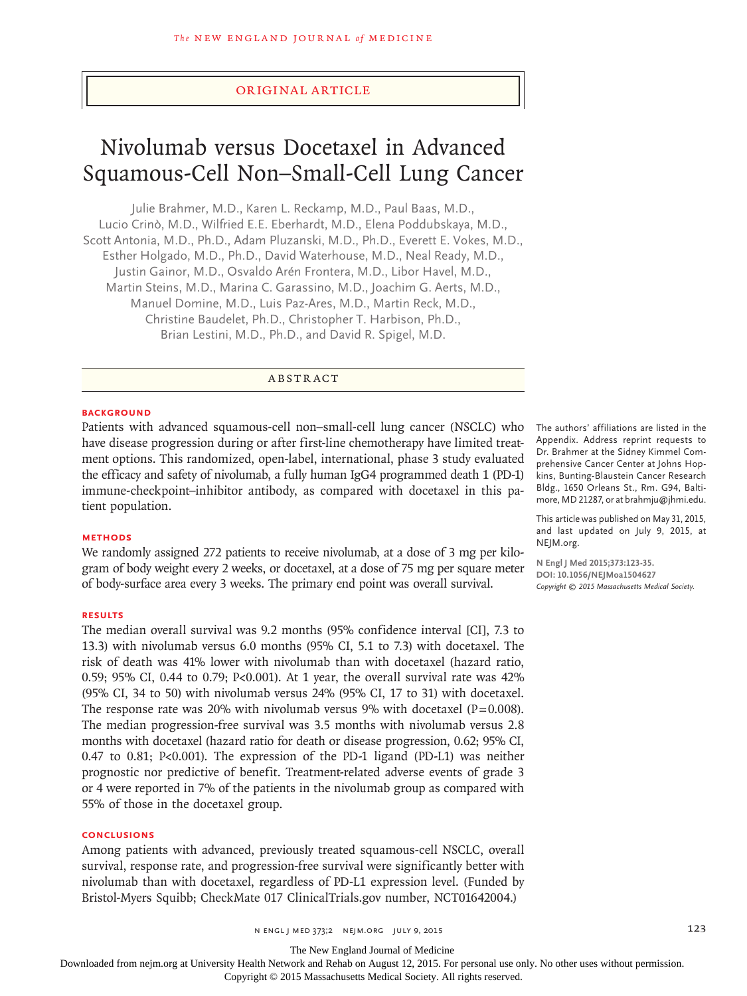### Original Article

# Nivolumab versus Docetaxel in Advanced Squamous-Cell Non–Small-Cell Lung Cancer

Julie Brahmer, M.D., Karen L. Reckamp, M.D., Paul Baas, M.D., Lucio Crinò, M.D., Wilfried E.E. Eberhardt, M.D., Elena Poddubskaya, M.D., Scott Antonia, M.D., Ph.D., Adam Pluzanski, M.D., Ph.D., Everett E. Vokes, M.D., Esther Holgado, M.D., Ph.D., David Waterhouse, M.D., Neal Ready, M.D., Justin Gainor, M.D., Osvaldo Arén Frontera, M.D., Libor Havel, M.D., Martin Steins, M.D., Marina C. Garassino, M.D., Joachim G. Aerts, M.D., Manuel Domine, M.D., Luis Paz-Ares, M.D., Martin Reck, M.D., Christine Baudelet, Ph.D., Christopher T. Harbison, Ph.D., Brian Lestini, M.D., Ph.D., and David R. Spigel, M.D.

## ABSTRACT

### **BACKGROUND**

Patients with advanced squamous-cell non–small-cell lung cancer (NSCLC) who have disease progression during or after first-line chemotherapy have limited treatment options. This randomized, open-label, international, phase 3 study evaluated the efficacy and safety of nivolumab, a fully human IgG4 programmed death 1 (PD-1) immune-checkpoint–inhibitor antibody, as compared with docetaxel in this patient population.

#### **METHODS**

We randomly assigned 272 patients to receive nivolumab, at a dose of 3 mg per kilogram of body weight every 2 weeks, or docetaxel, at a dose of 75 mg per square meter of body-surface area every 3 weeks. The primary end point was overall survival.

#### **RESULTS**

The median overall survival was 9.2 months (95% confidence interval [CI], 7.3 to 13.3) with nivolumab versus 6.0 months (95% CI, 5.1 to 7.3) with docetaxel. The risk of death was 41% lower with nivolumab than with docetaxel (hazard ratio, 0.59; 95% CI, 0.44 to 0.79; P<0.001). At 1 year, the overall survival rate was 42% (95% CI, 34 to 50) with nivolumab versus 24% (95% CI, 17 to 31) with docetaxel. The response rate was 20% with nivolumab versus 9% with docetaxel (P=0.008). The median progression-free survival was 3.5 months with nivolumab versus 2.8 months with docetaxel (hazard ratio for death or disease progression, 0.62; 95% CI, 0.47 to 0.81; P<0.001). The expression of the PD-1 ligand (PD-L1) was neither prognostic nor predictive of benefit. Treatment-related adverse events of grade 3 or 4 were reported in 7% of the patients in the nivolumab group as compared with 55% of those in the docetaxel group.

## **CONCLUSIONS**

Among patients with advanced, previously treated squamous-cell NSCLC, overall survival, response rate, and progression-free survival were significantly better with nivolumab than with docetaxel, regardless of PD-L1 expression level. (Funded by Bristol-Myers Squibb; CheckMate 017 ClinicalTrials.gov number, NCT01642004.)

The authors' affiliations are listed in the Appendix. Address reprint requests to Dr. Brahmer at the Sidney Kimmel Comprehensive Cancer Center at Johns Hopkins, Bunting-Blaustein Cancer Research Bldg., 1650 Orleans St., Rm. G94, Baltimore, MD 21287, or at brahmju@jhmi.edu.

This article was published on May 31, 2015, and last updated on July 9, 2015, at NEJM.org.

**N Engl J Med 2015;373:123-35. DOI: 10.1056/NEJMoa1504627** *Copyright © 2015 Massachusetts Medical Society.*

The New England Journal of Medicine

Downloaded from nejm.org at University Health Network and Rehab on August 12, 2015. For personal use only. No other uses without permission.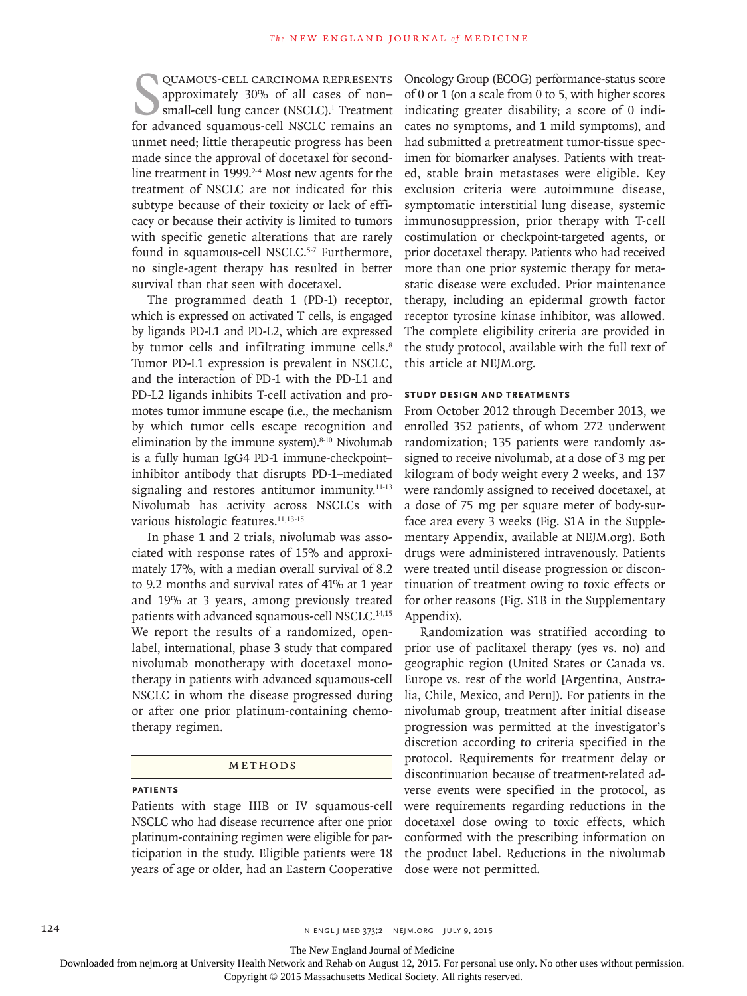QUAMOUS-CELL CARCINOMA REPRESENTS<br>approximately 30% of all cases of non-<br>small-cell lung cancer (NSCLC).<sup>1</sup> Treatment<br>for advanced squamous-cell NSCLC remains an quamous-cell carcinoma represents approximately 30% of all cases of non– small-cell lung cancer (NSCLC).<sup>1</sup> Treatment unmet need; little therapeutic progress has been made since the approval of docetaxel for secondline treatment in 1999.<sup>2-4</sup> Most new agents for the treatment of NSCLC are not indicated for this subtype because of their toxicity or lack of efficacy or because their activity is limited to tumors with specific genetic alterations that are rarely found in squamous-cell NSCLC.<sup>5-7</sup> Furthermore, no single-agent therapy has resulted in better survival than that seen with docetaxel.

The programmed death 1 (PD-1) receptor, which is expressed on activated T cells, is engaged by ligands PD-L1 and PD-L2, which are expressed by tumor cells and infiltrating immune cells.<sup>8</sup> Tumor PD-L1 expression is prevalent in NSCLC, and the interaction of PD-1 with the PD-L1 and PD-L2 ligands inhibits T-cell activation and promotes tumor immune escape (i.e., the mechanism by which tumor cells escape recognition and elimination by the immune system).<sup>8-10</sup> Nivolumab is a fully human IgG4 PD-1 immune-checkpoint– inhibitor antibody that disrupts PD-1–mediated signaling and restores antitumor immunity.<sup>11-13</sup> Nivolumab has activity across NSCLCs with various histologic features.<sup>11,13-15</sup>

In phase 1 and 2 trials, nivolumab was associated with response rates of 15% and approximately 17%, with a median overall survival of 8.2 to 9.2 months and survival rates of 41% at 1 year and 19% at 3 years, among previously treated patients with advanced squamous-cell NSCLC.<sup>14,15</sup> We report the results of a randomized, openlabel, international, phase 3 study that compared nivolumab monotherapy with docetaxel monotherapy in patients with advanced squamous-cell NSCLC in whom the disease progressed during or after one prior platinum-containing chemotherapy regimen.

#### Methods

## **Patients**

Patients with stage IIIB or IV squamous-cell NSCLC who had disease recurrence after one prior platinum-containing regimen were eligible for participation in the study. Eligible patients were 18 years of age or older, had an Eastern Cooperative Oncology Group (ECOG) performance-status score of 0 or 1 (on a scale from 0 to 5, with higher scores indicating greater disability; a score of 0 indicates no symptoms, and 1 mild symptoms), and had submitted a pretreatment tumor-tissue specimen for biomarker analyses. Patients with treated, stable brain metastases were eligible. Key exclusion criteria were autoimmune disease, symptomatic interstitial lung disease, systemic immunosuppression, prior therapy with T-cell costimulation or checkpoint-targeted agents, or prior docetaxel therapy. Patients who had received more than one prior systemic therapy for metastatic disease were excluded. Prior maintenance therapy, including an epidermal growth factor receptor tyrosine kinase inhibitor, was allowed. The complete eligibility criteria are provided in the study protocol, available with the full text of this article at NEJM.org.

#### **Study Design and Treatments**

From October 2012 through December 2013, we enrolled 352 patients, of whom 272 underwent randomization; 135 patients were randomly assigned to receive nivolumab, at a dose of 3 mg per kilogram of body weight every 2 weeks, and 137 were randomly assigned to received docetaxel, at a dose of 75 mg per square meter of body-surface area every 3 weeks (Fig. S1A in the Supplementary Appendix, available at NEJM.org). Both drugs were administered intravenously. Patients were treated until disease progression or discontinuation of treatment owing to toxic effects or for other reasons (Fig. S1B in the Supplementary Appendix).

Randomization was stratified according to prior use of paclitaxel therapy (yes vs. no) and geographic region (United States or Canada vs. Europe vs. rest of the world [Argentina, Australia, Chile, Mexico, and Peru]). For patients in the nivolumab group, treatment after initial disease progression was permitted at the investigator's discretion according to criteria specified in the protocol. Requirements for treatment delay or discontinuation because of treatment-related adverse events were specified in the protocol, as were requirements regarding reductions in the docetaxel dose owing to toxic effects, which conformed with the prescribing information on the product label. Reductions in the nivolumab dose were not permitted.

124 **n engl july 9, 2015** n engl july 9, 2015 n engl july 9, 2015

The New England Journal of Medicine

Downloaded from nejm.org at University Health Network and Rehab on August 12, 2015. For personal use only. No other uses without permission.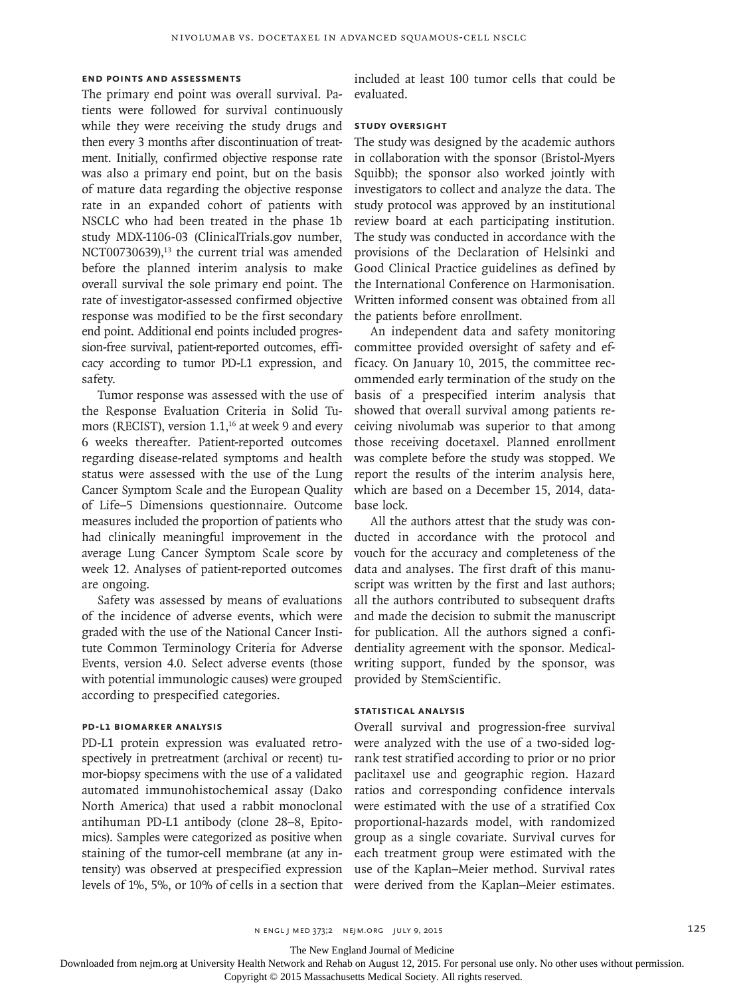## **End Points and Assessments**

The primary end point was overall survival. Patients were followed for survival continuously while they were receiving the study drugs and then every 3 months after discontinuation of treatment. Initially, confirmed objective response rate was also a primary end point, but on the basis of mature data regarding the objective response rate in an expanded cohort of patients with NSCLC who had been treated in the phase 1b study MDX-1106-03 (ClinicalTrials.gov number, NCT00730639),<sup>13</sup> the current trial was amended before the planned interim analysis to make overall survival the sole primary end point. The rate of investigator-assessed confirmed objective response was modified to be the first secondary end point. Additional end points included progression-free survival, patient-reported outcomes, efficacy according to tumor PD-L1 expression, and safety.

Tumor response was assessed with the use of the Response Evaluation Criteria in Solid Tumors (RECIST), version  $1.1$ <sup>16</sup> at week 9 and every 6 weeks thereafter. Patient-reported outcomes regarding disease-related symptoms and health status were assessed with the use of the Lung Cancer Symptom Scale and the European Quality of Life–5 Dimensions questionnaire. Outcome measures included the proportion of patients who had clinically meaningful improvement in the average Lung Cancer Symptom Scale score by week 12. Analyses of patient-reported outcomes are ongoing.

Safety was assessed by means of evaluations of the incidence of adverse events, which were graded with the use of the National Cancer Institute Common Terminology Criteria for Adverse Events, version 4.0. Select adverse events (those with potential immunologic causes) were grouped according to prespecified categories.

#### **PD-L1 Biomarker Analysis**

PD-L1 protein expression was evaluated retrospectively in pretreatment (archival or recent) tumor-biopsy specimens with the use of a validated automated immunohistochemical assay (Dako North America) that used a rabbit monoclonal antihuman PD-L1 antibody (clone 28–8, Epitomics). Samples were categorized as positive when staining of the tumor-cell membrane (at any intensity) was observed at prespecified expression levels of 1%, 5%, or 10% of cells in a section that included at least 100 tumor cells that could be evaluated.

#### **Study Oversight**

The study was designed by the academic authors in collaboration with the sponsor (Bristol-Myers Squibb); the sponsor also worked jointly with investigators to collect and analyze the data. The study protocol was approved by an institutional review board at each participating institution. The study was conducted in accordance with the provisions of the Declaration of Helsinki and Good Clinical Practice guidelines as defined by the International Conference on Harmonisation. Written informed consent was obtained from all the patients before enrollment.

An independent data and safety monitoring committee provided oversight of safety and efficacy. On January 10, 2015, the committee recommended early termination of the study on the basis of a prespecified interim analysis that showed that overall survival among patients receiving nivolumab was superior to that among those receiving docetaxel. Planned enrollment was complete before the study was stopped. We report the results of the interim analysis here, which are based on a December 15, 2014, database lock.

All the authors attest that the study was conducted in accordance with the protocol and vouch for the accuracy and completeness of the data and analyses. The first draft of this manuscript was written by the first and last authors; all the authors contributed to subsequent drafts and made the decision to submit the manuscript for publication. All the authors signed a confidentiality agreement with the sponsor. Medicalwriting support, funded by the sponsor, was provided by StemScientific.

#### **Statistical Analysis**

Overall survival and progression-free survival were analyzed with the use of a two-sided logrank test stratified according to prior or no prior paclitaxel use and geographic region. Hazard ratios and corresponding confidence intervals were estimated with the use of a stratified Cox proportional-hazards model, with randomized group as a single covariate. Survival curves for each treatment group were estimated with the use of the Kaplan–Meier method. Survival rates were derived from the Kaplan–Meier estimates.

The New England Journal of Medicine

Downloaded from nejm.org at University Health Network and Rehab on August 12, 2015. For personal use only. No other uses without permission.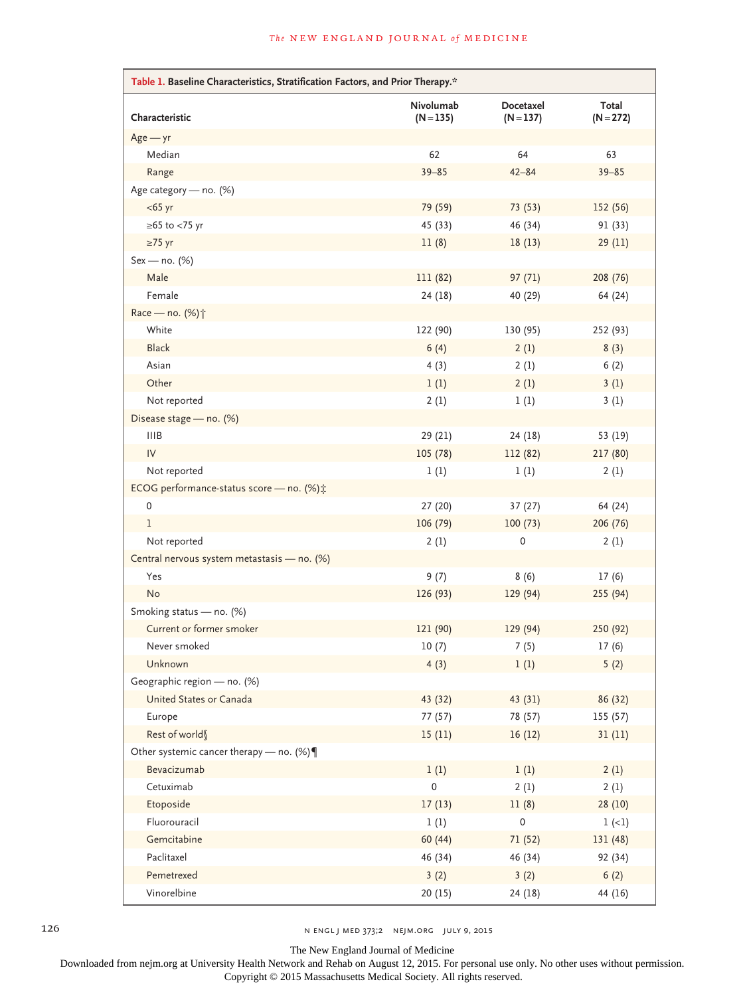| Table 1. Baseline Characteristics, Stratification Factors, and Prior Therapy.* |                          |                          |                      |  |
|--------------------------------------------------------------------------------|--------------------------|--------------------------|----------------------|--|
| Characteristic                                                                 | Nivolumab<br>$(N = 135)$ | Docetaxel<br>$(N = 137)$ | Total<br>$(N = 272)$ |  |
| $Age - yr$                                                                     |                          |                          |                      |  |
| Median                                                                         | 62                       | 64                       | 63                   |  |
| Range                                                                          | $39 - 85$                | $42 - 84$                | $39 - 85$            |  |
| Age category - no. (%)                                                         |                          |                          |                      |  |
| $<$ 65 yr                                                                      | 79 (59)                  | 73 (53)                  | 152 (56)             |  |
| $\geq 65$ to <75 yr                                                            | 45 (33)                  | 46 (34)                  | 91 (33)              |  |
| $\geq 75$ yr                                                                   | 11(8)                    | 18(13)                   | 29(11)               |  |
| $Sex - no. (%)$                                                                |                          |                          |                      |  |
| Male                                                                           | 111 (82)                 | 97(71)                   | 208 (76)             |  |
| Female                                                                         | 24 (18)                  | 40 (29)                  | 64 (24)              |  |
| Race - no. (%) <sup>+</sup>                                                    |                          |                          |                      |  |
| White                                                                          | 122 (90)                 | 130 (95)                 | 252 (93)             |  |
| <b>Black</b>                                                                   | 6(4)                     | 2(1)                     | 8(3)                 |  |
| Asian                                                                          | 4(3)                     | 2(1)                     | 6(2)                 |  |
| Other                                                                          | 1(1)                     | 2(1)                     | 3(1)                 |  |
| Not reported                                                                   | 2(1)                     | 1(1)                     | 3(1)                 |  |
| Disease stage - no. (%)                                                        |                          |                          |                      |  |
| <b>IIIB</b>                                                                    | 29 (21)                  | 24 (18)                  | 53 (19)              |  |
| IV                                                                             | 105 (78)                 | 112 (82)                 | 217 (80)             |  |
| Not reported                                                                   | 1(1)                     | 1(1)                     | 2(1)                 |  |
| ECOG performance-status score - no. (%) :                                      |                          |                          |                      |  |
| 0                                                                              | 27(20)                   | 37(27)                   | 64 (24)              |  |
| $\mathbf{1}$                                                                   | 106 (79)                 | 100(73)                  | 206 (76)             |  |
| Not reported                                                                   | 2(1)                     | $\pmb{0}$                | 2(1)                 |  |
| Central nervous system metastasis - no. (%)                                    |                          |                          |                      |  |
| Yes                                                                            | 9(7)                     | 8(6)                     | 17(6)                |  |
| No                                                                             | 126 (93)                 | 129 (94)                 | 255 (94)             |  |
| Smoking status - no. (%)                                                       |                          |                          |                      |  |
| Current or former smoker                                                       | 121 (90)                 | 129 (94)                 | 250 (92)             |  |
| Never smoked                                                                   | 10(7)                    | 7(5)                     | 17(6)                |  |
| Unknown                                                                        | 4(3)                     | 1(1)                     | 5(2)                 |  |
| Geographic region - no. (%)                                                    |                          |                          |                      |  |
| United States or Canada                                                        | 43 (32)                  | 43(31)                   | 86 (32)              |  |
| Europe                                                                         | 77 (57)                  | 78 (57)                  | 155 (57)             |  |
| Rest of world <sub>§</sub>                                                     | 15(11)                   | 16(12)                   | 31(11)               |  |
| Other systemic cancer therapy — no. $(\%) \P$                                  |                          |                          |                      |  |
| Bevacizumab                                                                    | 1(1)                     | 1(1)                     | 2(1)                 |  |
| Cetuximab                                                                      | $\mathbf 0$              | 2(1)                     | 2(1)                 |  |
| Etoposide                                                                      | 17(13)                   | 11(8)                    | 28 (10)              |  |
| Fluorouracil                                                                   | 1(1)                     | $\pmb{0}$                | $1 (-1)$             |  |
| Gemcitabine                                                                    | 60 (44)                  | 71 (52)                  | 131 (48)             |  |
| Paclitaxel                                                                     | 46 (34)                  | 46 (34)                  | 92 (34)              |  |
| Pemetrexed                                                                     | 3(2)                     | 3(2)                     | 6(2)                 |  |
| Vinorelbine                                                                    | 20(15)                   | 24 (18)                  | 44 (16)              |  |

126 n engl j med 373;2 nejm.org july 9, 2015

The New England Journal of Medicine

Downloaded from nejm.org at University Health Network and Rehab on August 12, 2015. For personal use only. No other uses without permission.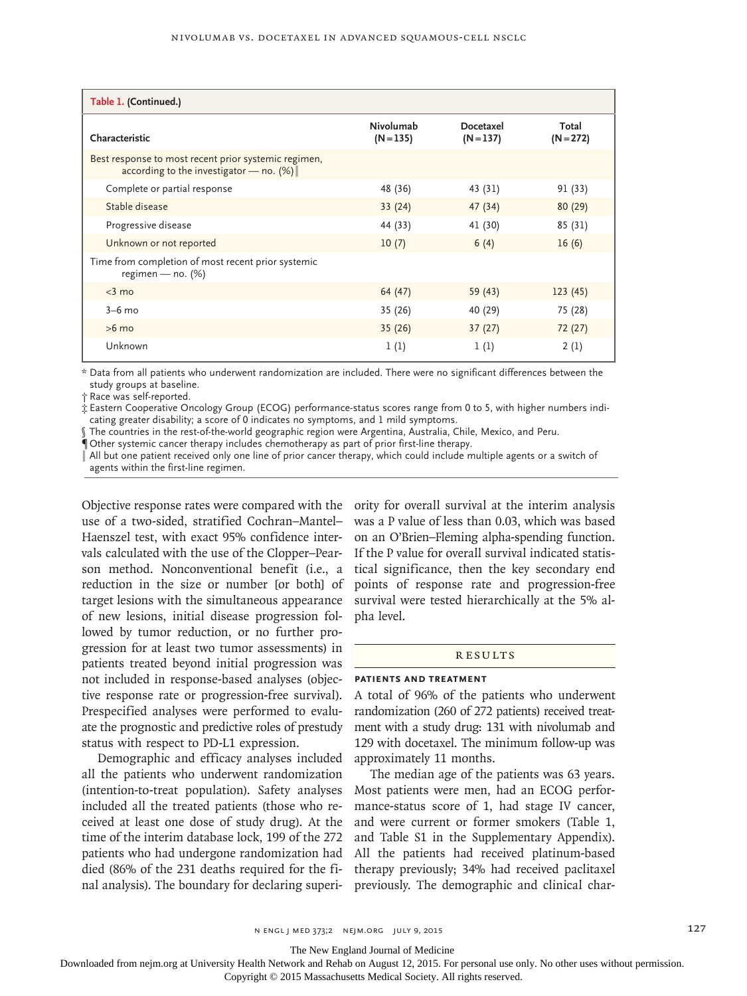| Table 1. (Continued.)                                                                              |                          |                          |                      |  |
|----------------------------------------------------------------------------------------------------|--------------------------|--------------------------|----------------------|--|
| Characteristic                                                                                     | Nivolumab<br>$(N = 135)$ | Docetaxel<br>$(N = 137)$ | Total<br>$(N = 272)$ |  |
| Best response to most recent prior systemic regimen,<br>according to the investigator – no. $(\%)$ |                          |                          |                      |  |
| Complete or partial response                                                                       | 48 (36)                  | 43 (31)                  | 91 (33)              |  |
| Stable disease                                                                                     | 33(24)                   | 47 (34)                  | 80(29)               |  |
| Progressive disease                                                                                | 44 (33)                  | 41 (30)                  | 85 (31)              |  |
| Unknown or not reported                                                                            | 10(7)                    | 6(4)                     | 16(6)                |  |
| Time from completion of most recent prior systemic<br>regimen — no. $(\%)$                         |                          |                          |                      |  |
| $<$ 3 mo                                                                                           | 64 (47)                  | 59 (43)                  | 123(45)              |  |
| $3-6$ mo                                                                                           | 35 (26)                  | 40 (29)                  | 75 (28)              |  |
| $>6$ mo                                                                                            | 35 (26)                  | 37(27)                   | 72 (27)              |  |
| Unknown                                                                                            | 1(1)                     | 1(1)                     | 2(1)                 |  |

\* Data from all patients who underwent randomization are included. There were no significant differences between the study groups at baseline.

† Race was self-reported.

‡ Eastern Cooperative Oncology Group (ECOG) performance-status scores range from 0 to 5, with higher numbers indicating greater disability; a score of 0 indicates no symptoms, and 1 mild symptoms.

The countries in the rest-of-the-world geographic region were Argentina, Australia, Chile, Mexico, and Peru.

¶ Other systemic cancer therapy includes chemotherapy as part of prior first-line therapy.

‖ All but one patient received only one line of prior cancer therapy, which could include multiple agents or a switch of agents within the first-line regimen.

Objective response rates were compared with the use of a two-sided, stratified Cochran–Mantel– Haenszel test, with exact 95% confidence intervals calculated with the use of the Clopper–Pearson method. Nonconventional benefit (i.e., a reduction in the size or number [or both] of target lesions with the simultaneous appearance of new lesions, initial disease progression followed by tumor reduction, or no further progression for at least two tumor assessments) in patients treated beyond initial progression was not included in response-based analyses (objective response rate or progression-free survival). Prespecified analyses were performed to evaluate the prognostic and predictive roles of prestudy status with respect to PD-L1 expression.

Demographic and efficacy analyses included all the patients who underwent randomization (intention-to-treat population). Safety analyses included all the treated patients (those who received at least one dose of study drug). At the time of the interim database lock, 199 of the 272 patients who had undergone randomization had died (86% of the 231 deaths required for the final analysis). The boundary for declaring superiority for overall survival at the interim analysis was a P value of less than 0.03, which was based on an O'Brien–Fleming alpha-spending function. If the P value for overall survival indicated statistical significance, then the key secondary end points of response rate and progression-free survival were tested hierarchically at the 5% alpha level.

#### **RESULTS**

## **Patients and Treatment**

A total of 96% of the patients who underwent randomization (260 of 272 patients) received treatment with a study drug: 131 with nivolumab and 129 with docetaxel. The minimum follow-up was approximately 11 months.

The median age of the patients was 63 years. Most patients were men, had an ECOG performance-status score of 1, had stage IV cancer, and were current or former smokers (Table 1, and Table S1 in the Supplementary Appendix). All the patients had received platinum-based therapy previously; 34% had received paclitaxel previously. The demographic and clinical char-

The New England Journal of Medicine

Downloaded from nejm.org at University Health Network and Rehab on August 12, 2015. For personal use only. No other uses without permission.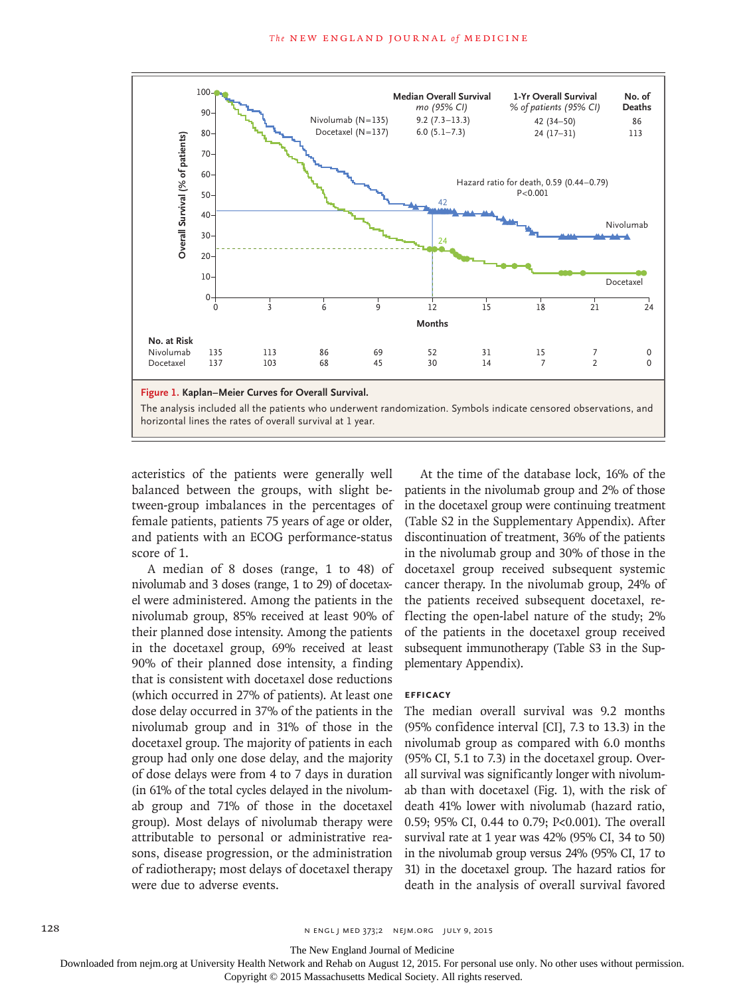

acteristics of the patients were generally well balanced between the groups, with slight between-group imbalances in the percentages of female patients, patients 75 years of age or older, and patients with an ECOG performance-status score of 1.

A median of 8 doses (range, 1 to 48) of nivolumab and 3 doses (range, 1 to 29) of docetaxel were administered. Among the patients in the nivolumab group, 85% received at least 90% of their planned dose intensity. Among the patients in the docetaxel group, 69% received at least 90% of their planned dose intensity, a finding that is consistent with docetaxel dose reductions (which occurred in 27% of patients). At least one dose delay occurred in 37% of the patients in the nivolumab group and in 31% of those in the docetaxel group. The majority of patients in each group had only one dose delay, and the majority of dose delays were from 4 to 7 days in duration (in 61% of the total cycles delayed in the nivolumab group and 71% of those in the docetaxel group). Most delays of nivolumab therapy were attributable to personal or administrative reasons, disease progression, or the administration of radiotherapy; most delays of docetaxel therapy were due to adverse events.

At the time of the database lock, 16% of the patients in the nivolumab group and 2% of those in the docetaxel group were continuing treatment (Table S2 in the Supplementary Appendix). After discontinuation of treatment, 36% of the patients in the nivolumab group and 30% of those in the docetaxel group received subsequent systemic cancer therapy. In the nivolumab group, 24% of the patients received subsequent docetaxel, reflecting the open-label nature of the study; 2% of the patients in the docetaxel group received subsequent immunotherapy (Table S3 in the Supplementary Appendix).

### **Efficacy**

The median overall survival was 9.2 months (95% confidence interval [CI], 7.3 to 13.3) in the nivolumab group as compared with 6.0 months (95% CI, 5.1 to 7.3) in the docetaxel group. Overall survival was significantly longer with nivolumab than with docetaxel (Fig. 1), with the risk of death 41% lower with nivolumab (hazard ratio, 0.59; 95% CI, 0.44 to 0.79; P<0.001). The overall survival rate at 1 year was 42% (95% CI, 34 to 50) in the nivolumab group versus 24% (95% CI, 17 to 31) in the docetaxel group. The hazard ratios for death in the analysis of overall survival favored

128 **n engl july 9, 2015** n engl july 9, 2015 n engl july 9, 2015

The New England Journal of Medicine

Downloaded from nejm.org at University Health Network and Rehab on August 12, 2015. For personal use only. No other uses without permission.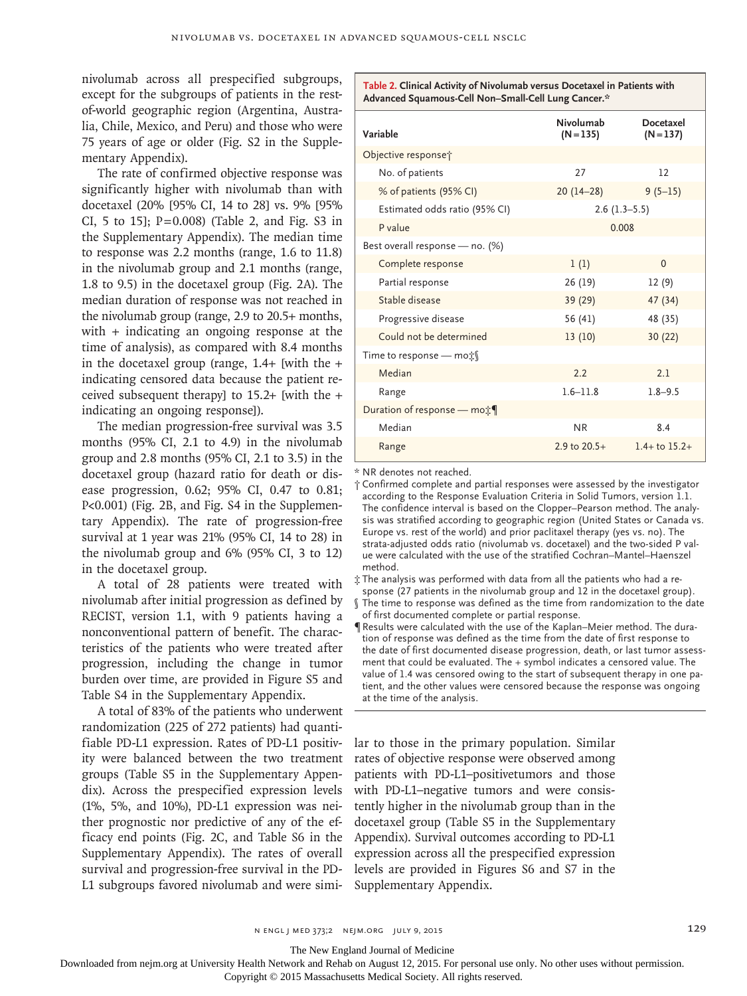nivolumab across all prespecified subgroups, except for the subgroups of patients in the restof-world geographic region (Argentina, Australia, Chile, Mexico, and Peru) and those who were 75 years of age or older (Fig. S2 in the Supplementary Appendix).

The rate of confirmed objective response was significantly higher with nivolumab than with docetaxel (20% [95% CI, 14 to 28] vs. 9% [95% CI, 5 to 15];  $P = 0.008$  (Table 2, and Fig. S3 in the Supplementary Appendix). The median time to response was 2.2 months (range, 1.6 to 11.8) in the nivolumab group and 2.1 months (range, 1.8 to 9.5) in the docetaxel group (Fig. 2A). The median duration of response was not reached in the nivolumab group (range, 2.9 to 20.5+ months, with + indicating an ongoing response at the time of analysis), as compared with 8.4 months in the docetaxel group (range,  $1.4+$  [with the  $+$ indicating censored data because the patient received subsequent therapy] to 15.2+ [with the + indicating an ongoing response]).

The median progression-free survival was 3.5 months (95% CI, 2.1 to 4.9) in the nivolumab group and 2.8 months (95% CI, 2.1 to 3.5) in the docetaxel group (hazard ratio for death or disease progression, 0.62; 95% CI, 0.47 to 0.81; P<0.001) (Fig. 2B, and Fig. S4 in the Supplementary Appendix). The rate of progression-free survival at 1 year was 21% (95% CI, 14 to 28) in the nivolumab group and 6% (95% CI, 3 to 12) in the docetaxel group.

A total of 28 patients were treated with nivolumab after initial progression as defined by RECIST, version 1.1, with 9 patients having a nonconventional pattern of benefit. The characteristics of the patients who were treated after progression, including the change in tumor burden over time, are provided in Figure S5 and Table S4 in the Supplementary Appendix.

A total of 83% of the patients who underwent randomization (225 of 272 patients) had quantifiable PD-L1 expression. Rates of PD-L1 positivity were balanced between the two treatment groups (Table S5 in the Supplementary Appendix). Across the prespecified expression levels (1%, 5%, and 10%), PD-L1 expression was neither prognostic nor predictive of any of the efficacy end points (Fig. 2C, and Table S6 in the Supplementary Appendix). The rates of overall survival and progression-free survival in the PD-L1 subgroups favored nivolumab and were simi-

**Table 2. Clinical Activity of Nivolumab versus Docetaxel in Patients with Advanced Squamous-Cell Non–Small-Cell Lung Cancer.\***

| Variable                        | Nivolumab<br>$(N = 135)$ | Docetaxel<br>$(N = 137)$ |  |  |
|---------------------------------|--------------------------|--------------------------|--|--|
| Objective response <sub>T</sub> |                          |                          |  |  |
| No. of patients                 | 27                       | 12                       |  |  |
| % of patients (95% CI)          | $20(14-28)$              | $9(5-15)$                |  |  |
| Estimated odds ratio (95% CI)   |                          | $2.6(1.3-5.5)$           |  |  |
| P value                         | 0.008                    |                          |  |  |
| Best overall response - no. (%) |                          |                          |  |  |
| Complete response               | 1(1)                     | 0                        |  |  |
| Partial response                | 26 (19)                  | 12(9)                    |  |  |
| Stable disease                  | 39 (29)                  | 47 (34)                  |  |  |
| Progressive disease             | 56 (41)                  | 48 (35)                  |  |  |
| Could not be determined         | 13(10)                   | 30(22)                   |  |  |
| Time to response — mo‡¶         |                          |                          |  |  |
| Median                          | 2.2                      | 2.1                      |  |  |
| Range                           | $1.6 - 11.8$             | $1.8 - 9.5$              |  |  |
| Duration of response — mo: ¶    |                          |                          |  |  |
| Median                          | <b>NR</b>                | 8.4                      |  |  |
| Range                           | $2.9$ to $20.5+$         | $1.4 +$ to $15.2 +$      |  |  |

\* NR denotes not reached.

† Confirmed complete and partial responses were assessed by the investigator according to the Response Evaluation Criteria in Solid Tumors, version 1.1. The confidence interval is based on the Clopper–Pearson method. The analysis was stratified according to geographic region (United States or Canada vs. Europe vs. rest of the world) and prior paclitaxel therapy (yes vs. no). The strata-adjusted odds ratio (nivolumab vs. docetaxel) and the two-sided P value were calculated with the use of the stratified Cochran–Mantel–Haenszel method.

‡ The analysis was performed with data from all the patients who had a re-

sponse (27 patients in the nivolumab group and 12 in the docetaxel group). § The time to response was defined as the time from randomization to the date of first documented complete or partial response.

¶ Results were calculated with the use of the Kaplan–Meier method. The duration of response was defined as the time from the date of first response to the date of first documented disease progression, death, or last tumor assessment that could be evaluated. The + symbol indicates a censored value. The value of 1.4 was censored owing to the start of subsequent therapy in one patient, and the other values were censored because the response was ongoing at the time of the analysis.

lar to those in the primary population. Similar rates of objective response were observed among patients with PD-L1–positivetumors and those with PD-L1–negative tumors and were consistently higher in the nivolumab group than in the docetaxel group (Table S5 in the Supplementary Appendix). Survival outcomes according to PD-L1 expression across all the prespecified expression levels are provided in Figures S6 and S7 in the Supplementary Appendix.

n engl j med 373;2 nejm.org july 9, 2015 129

The New England Journal of Medicine

Downloaded from nejm.org at University Health Network and Rehab on August 12, 2015. For personal use only. No other uses without permission.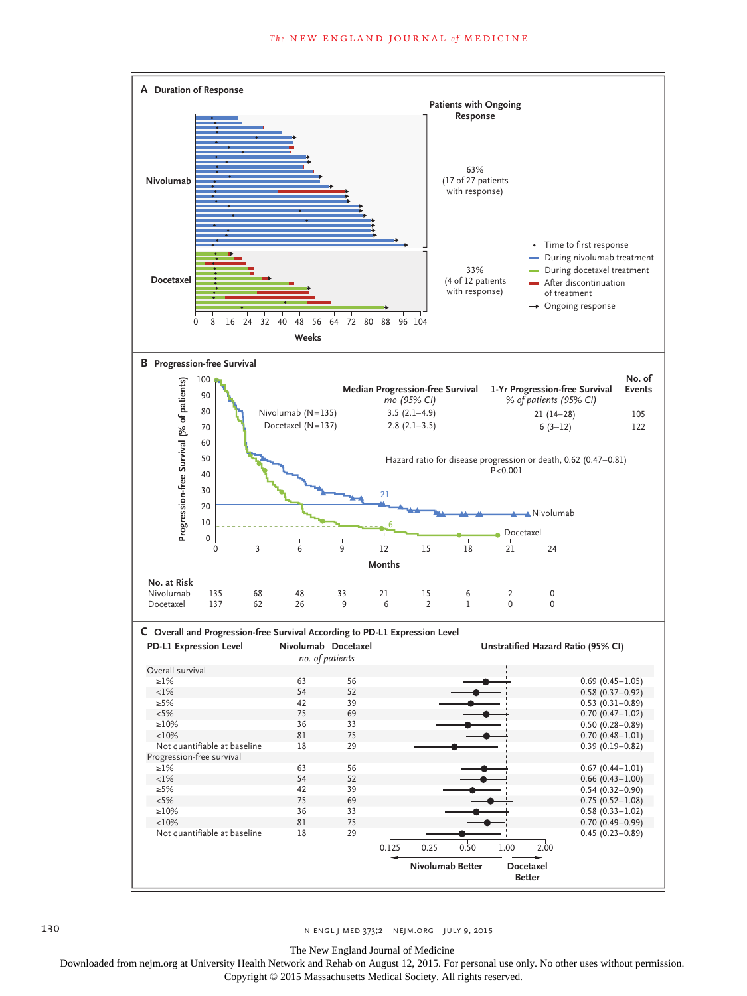

130 **n** ENGL J MED 373;2 NEJM.ORG JULY 9, 2015

The New England Journal of Medicine

Downloaded from nejm.org at University Health Network and Rehab on August 12, 2015. For personal use only. No other uses without permission.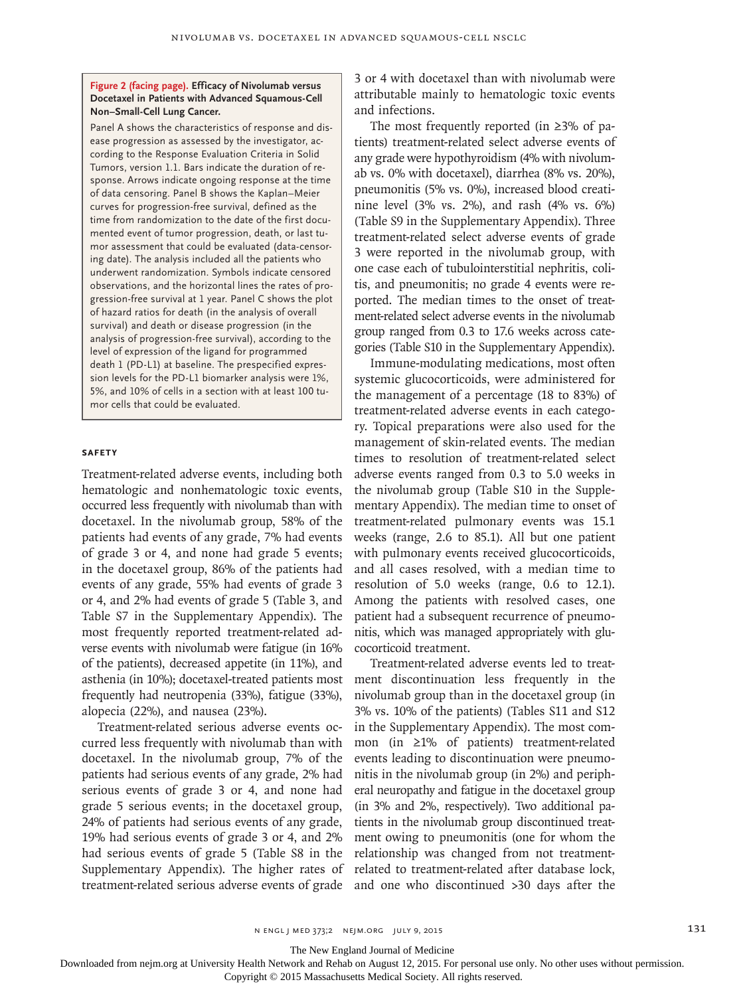#### **Figure 2 (facing page). Efficacy of Nivolumab versus Docetaxel in Patients with Advanced Squamous-Cell Non–Small-Cell Lung Cancer.**

Panel A shows the characteristics of response and disease progression as assessed by the investigator, according to the Response Evaluation Criteria in Solid Tumors, version 1.1. Bars indicate the duration of response. Arrows indicate ongoing response at the time of data censoring. Panel B shows the Kaplan–Meier curves for progression-free survival, defined as the time from randomization to the date of the first documented event of tumor progression, death, or last tumor assessment that could be evaluated (data-censoring date). The analysis included all the patients who underwent randomization. Symbols indicate censored observations, and the horizontal lines the rates of progression-free survival at 1 year. Panel C shows the plot of hazard ratios for death (in the analysis of overall survival) and death or disease progression (in the analysis of progression-free survival), according to the level of expression of the ligand for programmed death 1 (PD-L1) at baseline. The prespecified expression levels for the PD-L1 biomarker analysis were 1%, 5%, and 10% of cells in a section with at least 100 tumor cells that could be evaluated.

#### **Safety**

Treatment-related adverse events, including both hematologic and nonhematologic toxic events, occurred less frequently with nivolumab than with docetaxel. In the nivolumab group, 58% of the patients had events of any grade, 7% had events of grade 3 or 4, and none had grade 5 events; in the docetaxel group, 86% of the patients had events of any grade, 55% had events of grade 3 or 4, and 2% had events of grade 5 (Table 3, and Table S7 in the Supplementary Appendix). The most frequently reported treatment-related adverse events with nivolumab were fatigue (in 16% of the patients), decreased appetite (in 11%), and asthenia (in 10%); docetaxel-treated patients most frequently had neutropenia (33%), fatigue (33%), alopecia (22%), and nausea (23%).

Treatment-related serious adverse events occurred less frequently with nivolumab than with docetaxel. In the nivolumab group, 7% of the patients had serious events of any grade, 2% had serious events of grade 3 or 4, and none had grade 5 serious events; in the docetaxel group, 24% of patients had serious events of any grade, 19% had serious events of grade 3 or 4, and 2% had serious events of grade 5 (Table S8 in the Supplementary Appendix). The higher rates of treatment-related serious adverse events of grade

3 or 4 with docetaxel than with nivolumab were attributable mainly to hematologic toxic events and infections.

The most frequently reported (in ≥3% of patients) treatment-related select adverse events of any grade were hypothyroidism (4% with nivolumab vs. 0% with docetaxel), diarrhea (8% vs. 20%), pneumonitis (5% vs. 0%), increased blood creatinine level (3% vs. 2%), and rash (4% vs. 6%) (Table S9 in the Supplementary Appendix). Three treatment-related select adverse events of grade 3 were reported in the nivolumab group, with one case each of tubulointerstitial nephritis, colitis, and pneumonitis; no grade 4 events were reported. The median times to the onset of treatment-related select adverse events in the nivolumab group ranged from 0.3 to 17.6 weeks across categories (Table S10 in the Supplementary Appendix).

Immune-modulating medications, most often systemic glucocorticoids, were administered for the management of a percentage (18 to 83%) of treatment-related adverse events in each category. Topical preparations were also used for the management of skin-related events. The median times to resolution of treatment-related select adverse events ranged from 0.3 to 5.0 weeks in the nivolumab group (Table S10 in the Supplementary Appendix). The median time to onset of treatment-related pulmonary events was 15.1 weeks (range, 2.6 to 85.1). All but one patient with pulmonary events received glucocorticoids, and all cases resolved, with a median time to resolution of 5.0 weeks (range, 0.6 to 12.1). Among the patients with resolved cases, one patient had a subsequent recurrence of pneumonitis, which was managed appropriately with glucocorticoid treatment.

Treatment-related adverse events led to treatment discontinuation less frequently in the nivolumab group than in the docetaxel group (in 3% vs. 10% of the patients) (Tables S11 and S12 in the Supplementary Appendix). The most common (in ≥1% of patients) treatment-related events leading to discontinuation were pneumonitis in the nivolumab group (in 2%) and peripheral neuropathy and fatigue in the docetaxel group (in 3% and 2%, respectively). Two additional patients in the nivolumab group discontinued treatment owing to pneumonitis (one for whom the relationship was changed from not treatmentrelated to treatment-related after database lock, and one who discontinued >30 days after the

The New England Journal of Medicine

Downloaded from nejm.org at University Health Network and Rehab on August 12, 2015. For personal use only. No other uses without permission.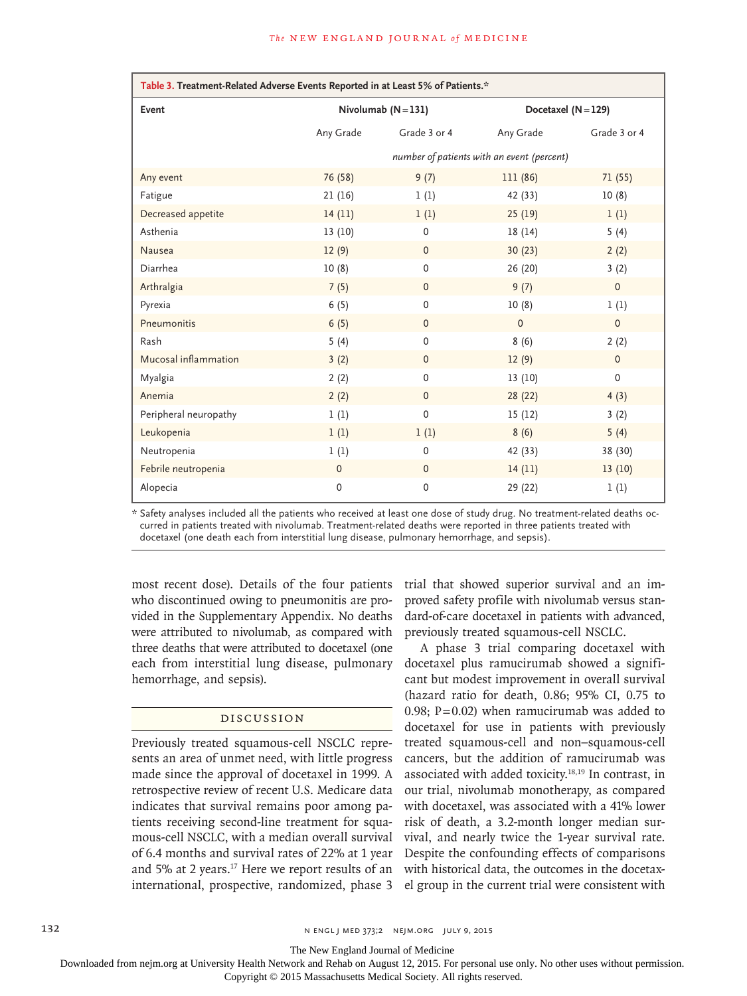| Table 3. Treatment-Related Adverse Events Reported in at Least 5% of Patients.* |                     |                                            |                       |              |  |  |
|---------------------------------------------------------------------------------|---------------------|--------------------------------------------|-----------------------|--------------|--|--|
| Event                                                                           | Nivolumab $(N=131)$ |                                            | Docetaxel $(N = 129)$ |              |  |  |
|                                                                                 | Any Grade           | Grade 3 or 4                               | Any Grade             | Grade 3 or 4 |  |  |
|                                                                                 |                     | number of patients with an event (percent) |                       |              |  |  |
| Any event                                                                       | 76 (58)             | 9(7)                                       | 111 (86)              | 71(55)       |  |  |
| Fatigue                                                                         | 21(16)              | 1(1)                                       | 42 (33)               | 10(8)        |  |  |
| Decreased appetite                                                              | 14(11)              | 1(1)                                       | 25(19)                | 1(1)         |  |  |
| Asthenia                                                                        | 13(10)              | $\Omega$                                   | 18(14)                | 5(4)         |  |  |
| Nausea                                                                          | 12(9)               | $\mathbf{0}$                               | 30(23)                | 2(2)         |  |  |
| Diarrhea                                                                        | 10(8)               | $\mathbf 0$                                | 26 (20)               | 3(2)         |  |  |
| Arthralgia                                                                      | 7(5)                | $\mathbf{0}$                               | 9(7)                  | $\mathbf{0}$ |  |  |
| Pyrexia                                                                         | 6(5)                | $\Omega$                                   | 10(8)                 | 1(1)         |  |  |
| Pneumonitis                                                                     | 6(5)                | $\mathbf{0}$                               | $\Omega$              | $\mathbf 0$  |  |  |
| Rash                                                                            | 5(4)                | $\mathbf 0$                                | 8(6)                  | 2(2)         |  |  |
| Mucosal inflammation                                                            | 3(2)                | $\mathbf{0}$                               | 12(9)                 | $\mathbf{0}$ |  |  |
| Myalgia                                                                         | 2(2)                | $\mathbf 0$                                | 13(10)                | $\mathbf 0$  |  |  |
| Anemia                                                                          | 2(2)                | $\Omega$                                   | 28(22)                | 4(3)         |  |  |
| Peripheral neuropathy                                                           | 1(1)                | $\mathbf 0$                                | 15(12)                | 3(2)         |  |  |
| Leukopenia                                                                      | 1(1)                | 1(1)                                       | 8(6)                  | 5(4)         |  |  |
| Neutropenia                                                                     | 1(1)                | $\Omega$                                   | 42 (33)               | 38 (30)      |  |  |
| Febrile neutropenia                                                             | $\Omega$            | $\Omega$                                   | 14(11)                | 13(10)       |  |  |
| Alopecia                                                                        | $\Omega$            | $\Omega$                                   | 29 (22)               | 1(1)         |  |  |

\* Safety analyses included all the patients who received at least one dose of study drug. No treatment-related deaths occurred in patients treated with nivolumab. Treatment-related deaths were reported in three patients treated with docetaxel (one death each from interstitial lung disease, pulmonary hemorrhage, and sepsis).

most recent dose). Details of the four patients who discontinued owing to pneumonitis are provided in the Supplementary Appendix. No deaths were attributed to nivolumab, as compared with three deaths that were attributed to docetaxel (one each from interstitial lung disease, pulmonary hemorrhage, and sepsis).

## Discussion

Previously treated squamous-cell NSCLC represents an area of unmet need, with little progress made since the approval of docetaxel in 1999. A retrospective review of recent U.S. Medicare data indicates that survival remains poor among patients receiving second-line treatment for squamous-cell NSCLC, with a median overall survival of 6.4 months and survival rates of 22% at 1 year and 5% at 2 years.<sup>17</sup> Here we report results of an international, prospective, randomized, phase 3 trial that showed superior survival and an improved safety profile with nivolumab versus standard-of-care docetaxel in patients with advanced, previously treated squamous-cell NSCLC.

A phase 3 trial comparing docetaxel with docetaxel plus ramucirumab showed a significant but modest improvement in overall survival (hazard ratio for death, 0.86; 95% CI, 0.75 to 0.98;  $P = 0.02$ ) when ramucirumab was added to docetaxel for use in patients with previously treated squamous-cell and non–squamous-cell cancers, but the addition of ramucirumab was associated with added toxicity.18,19 In contrast, in our trial, nivolumab monotherapy, as compared with docetaxel, was associated with a 41% lower risk of death, a 3.2-month longer median survival, and nearly twice the 1-year survival rate. Despite the confounding effects of comparisons with historical data, the outcomes in the docetaxel group in the current trial were consistent with

132 **n engl j med 373;2 nejm.org july 9, 2015** n engl j med 373;2 nejm.org july 9, 2015

The New England Journal of Medicine

Downloaded from nejm.org at University Health Network and Rehab on August 12, 2015. For personal use only. No other uses without permission.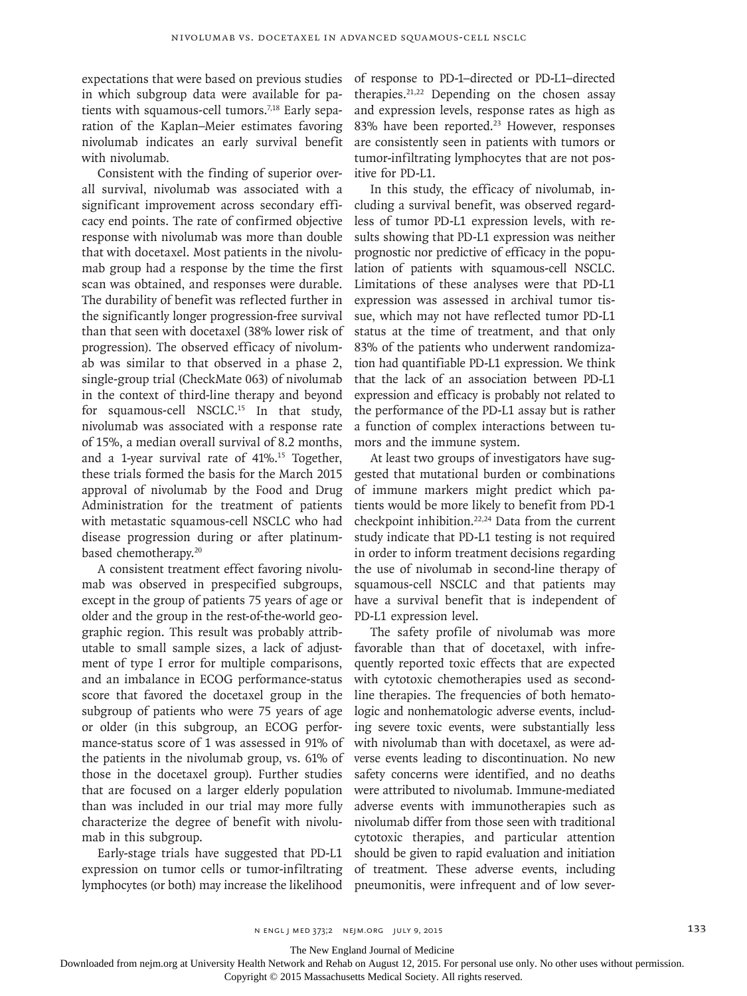expectations that were based on previous studies in which subgroup data were available for patients with squamous-cell tumors.<sup>7,18</sup> Early separation of the Kaplan–Meier estimates favoring nivolumab indicates an early survival benefit with nivolumab.

Consistent with the finding of superior overall survival, nivolumab was associated with a significant improvement across secondary efficacy end points. The rate of confirmed objective response with nivolumab was more than double that with docetaxel. Most patients in the nivolumab group had a response by the time the first scan was obtained, and responses were durable. The durability of benefit was reflected further in the significantly longer progression-free survival than that seen with docetaxel (38% lower risk of progression). The observed efficacy of nivolumab was similar to that observed in a phase 2, single-group trial (CheckMate 063) of nivolumab in the context of third-line therapy and beyond for squamous-cell NSCLC.<sup>15</sup> In that study, nivolumab was associated with a response rate of 15%, a median overall survival of 8.2 months, and a 1-year survival rate of 41%.<sup>15</sup> Together, these trials formed the basis for the March 2015 approval of nivolumab by the Food and Drug Administration for the treatment of patients with metastatic squamous-cell NSCLC who had disease progression during or after platinumbased chemotherapy.<sup>20</sup>

A consistent treatment effect favoring nivolumab was observed in prespecified subgroups, except in the group of patients 75 years of age or older and the group in the rest-of-the-world geographic region. This result was probably attributable to small sample sizes, a lack of adjustment of type I error for multiple comparisons, and an imbalance in ECOG performance-status score that favored the docetaxel group in the subgroup of patients who were 75 years of age or older (in this subgroup, an ECOG performance-status score of 1 was assessed in 91% of the patients in the nivolumab group, vs. 61% of those in the docetaxel group). Further studies that are focused on a larger elderly population than was included in our trial may more fully characterize the degree of benefit with nivolumab in this subgroup.

Early-stage trials have suggested that PD-L1 expression on tumor cells or tumor-infiltrating lymphocytes (or both) may increase the likelihood of response to PD-1–directed or PD-L1–directed therapies. $21,22$  Depending on the chosen assay and expression levels, response rates as high as 83% have been reported.<sup>23</sup> However, responses are consistently seen in patients with tumors or tumor-infiltrating lymphocytes that are not positive for PD-L1.

In this study, the efficacy of nivolumab, including a survival benefit, was observed regardless of tumor PD-L1 expression levels, with results showing that PD-L1 expression was neither prognostic nor predictive of efficacy in the population of patients with squamous-cell NSCLC. Limitations of these analyses were that PD-L1 expression was assessed in archival tumor tissue, which may not have reflected tumor PD-L1 status at the time of treatment, and that only 83% of the patients who underwent randomization had quantifiable PD-L1 expression. We think that the lack of an association between PD-L1 expression and efficacy is probably not related to the performance of the PD-L1 assay but is rather a function of complex interactions between tumors and the immune system.

At least two groups of investigators have suggested that mutational burden or combinations of immune markers might predict which patients would be more likely to benefit from PD-1 checkpoint inhibition.22,24 Data from the current study indicate that PD-L1 testing is not required in order to inform treatment decisions regarding the use of nivolumab in second-line therapy of squamous-cell NSCLC and that patients may have a survival benefit that is independent of PD-L1 expression level.

The safety profile of nivolumab was more favorable than that of docetaxel, with infrequently reported toxic effects that are expected with cytotoxic chemotherapies used as secondline therapies. The frequencies of both hematologic and nonhematologic adverse events, including severe toxic events, were substantially less with nivolumab than with docetaxel, as were adverse events leading to discontinuation. No new safety concerns were identified, and no deaths were attributed to nivolumab. Immune-mediated adverse events with immunotherapies such as nivolumab differ from those seen with traditional cytotoxic therapies, and particular attention should be given to rapid evaluation and initiation of treatment. These adverse events, including pneumonitis, were infrequent and of low sever-

The New England Journal of Medicine

Downloaded from nejm.org at University Health Network and Rehab on August 12, 2015. For personal use only. No other uses without permission.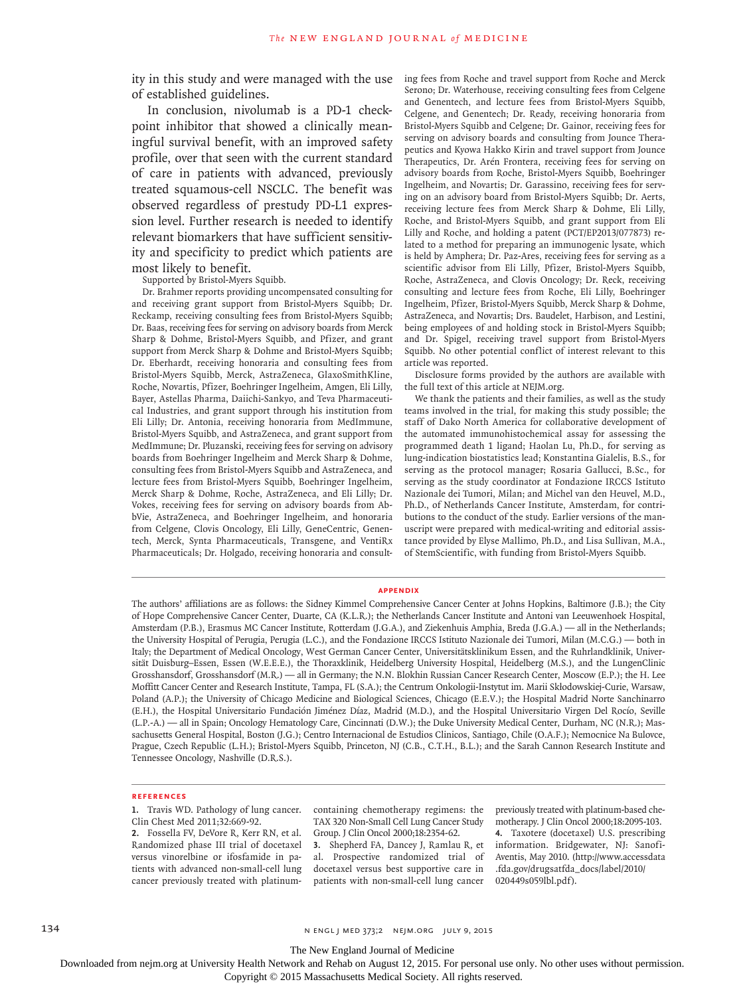ity in this study and were managed with the use of established guidelines.

In conclusion, nivolumab is a PD-1 checkpoint inhibitor that showed a clinically meaningful survival benefit, with an improved safety profile, over that seen with the current standard of care in patients with advanced, previously treated squamous-cell NSCLC. The benefit was observed regardless of prestudy PD-L1 expression level. Further research is needed to identify relevant biomarkers that have sufficient sensitivity and specificity to predict which patients are most likely to benefit.

Supported by Bristol-Myers Squibb.

Dr. Brahmer reports providing uncompensated consulting for and receiving grant support from Bristol-Myers Squibb; Dr. Reckamp, receiving consulting fees from Bristol-Myers Squibb; Dr. Baas, receiving fees for serving on advisory boards from Merck Sharp & Dohme, Bristol-Myers Squibb, and Pfizer, and grant support from Merck Sharp & Dohme and Bristol-Myers Squibb; Dr. Eberhardt, receiving honoraria and consulting fees from Bristol-Myers Squibb, Merck, AstraZeneca, GlaxoSmithKline, Roche, Novartis, Pfizer, Boehringer Ingelheim, Amgen, Eli Lilly, Bayer, Astellas Pharma, Daiichi-Sankyo, and Teva Pharmaceutical Industries, and grant support through his institution from Eli Lilly; Dr. Antonia, receiving honoraria from MedImmune, Bristol-Myers Squibb, and AstraZeneca, and grant support from MedImmune; Dr. Pluzanski, receiving fees for serving on advisory boards from Boehringer Ingelheim and Merck Sharp & Dohme, consulting fees from Bristol-Myers Squibb and AstraZeneca, and lecture fees from Bristol-Myers Squibb, Boehringer Ingelheim, Merck Sharp & Dohme, Roche, AstraZeneca, and Eli Lilly; Dr. Vokes, receiving fees for serving on advisory boards from AbbVie, AstraZeneca, and Boehringer Ingelheim, and honoraria from Celgene, Clovis Oncology, Eli Lilly, GeneCentric, Genentech, Merck, Synta Pharmaceuticals, Transgene, and VentiRx Pharmaceuticals; Dr. Holgado, receiving honoraria and consulting fees from Roche and travel support from Roche and Merck Serono; Dr. Waterhouse, receiving consulting fees from Celgene and Genentech, and lecture fees from Bristol-Myers Squibb, Celgene, and Genentech; Dr. Ready, receiving honoraria from Bristol-Myers Squibb and Celgene; Dr. Gainor, receiving fees for serving on advisory boards and consulting from Jounce Therapeutics and Kyowa Hakko Kirin and travel support from Jounce Therapeutics, Dr. Arén Frontera, receiving fees for serving on advisory boards from Roche, Bristol-Myers Squibb, Boehringer Ingelheim, and Novartis; Dr. Garassino, receiving fees for serving on an advisory board from Bristol-Myers Squibb; Dr. Aerts, receiving lecture fees from Merck Sharp & Dohme, Eli Lilly, Roche, and Bristol-Myers Squibb, and grant support from Eli Lilly and Roche, and holding a patent (PCT/EP2013/077873) related to a method for preparing an immunogenic lysate, which is held by Amphera; Dr. Paz-Ares, receiving fees for serving as a scientific advisor from Eli Lilly, Pfizer, Bristol-Myers Squibb, Roche, AstraZeneca, and Clovis Oncology; Dr. Reck, receiving consulting and lecture fees from Roche, Eli Lilly, Boehringer Ingelheim, Pfizer, Bristol-Myers Squibb, Merck Sharp & Dohme, AstraZeneca, and Novartis; Drs. Baudelet, Harbison, and Lestini, being employees of and holding stock in Bristol-Myers Squibb; and Dr. Spigel, receiving travel support from Bristol-Myers Squibb. No other potential conflict of interest relevant to this article was reported.

Disclosure forms provided by the authors are available with the full text of this article at NEJM.org.

We thank the patients and their families, as well as the study teams involved in the trial, for making this study possible; the staff of Dako North America for collaborative development of the automated immunohistochemical assay for assessing the programmed death 1 ligand; Haolan Lu, Ph.D., for serving as lung-indication biostatistics lead; Konstantina Gialelis, B.S., for serving as the protocol manager; Rosaria Gallucci, B.Sc., for serving as the study coordinator at Fondazione IRCCS Istituto Nazionale dei Tumori, Milan; and Michel van den Heuvel, M.D., Ph.D., of Netherlands Cancer Institute, Amsterdam, for contributions to the conduct of the study. Earlier versions of the manuscript were prepared with medical-writing and editorial assistance provided by Elyse Mallimo, Ph.D., and Lisa Sullivan, M.A., of StemScientific, with funding from Bristol-Myers Squibb.

#### **Appendix**

The authors' affiliations are as follows: the Sidney Kimmel Comprehensive Cancer Center at Johns Hopkins, Baltimore (J.B.); the City of Hope Comprehensive Cancer Center, Duarte, CA (K.L.R.); the Netherlands Cancer Institute and Antoni van Leeuwenhoek Hospital, Amsterdam (P.B.), Erasmus MC Cancer Institute, Rotterdam (J.G.A.), and Ziekenhuis Amphia, Breda (J.G.A.) — all in the Netherlands; the University Hospital of Perugia, Perugia (L.C.), and the Fondazione IRCCS Istituto Nazionale dei Tumori, Milan (M.C.G.) — both in Italy; the Department of Medical Oncology, West German Cancer Center, Universitätsklinikum Essen, and the Ruhrlandklinik, Universität Duisburg–Essen, Essen (W.E.E.E.), the Thoraxklinik, Heidelberg University Hospital, Heidelberg (M.S.), and the LungenClinic Grosshansdorf, Grosshansdorf (M.R.) — all in Germany; the N.N. Blokhin Russian Cancer Research Center, Moscow (E.P.); the H. Lee Moffitt Cancer Center and Research Institute, Tampa, FL (S.A.); the Centrum Onkologii-Instytut im. Marii Skłodowskiej-Curie, Warsaw, Poland (A.P.); the University of Chicago Medicine and Biological Sciences, Chicago (E.E.V.); the Hospital Madrid Norte Sanchinarro (E.H.), the Hospital Universitario Fundación Jiménez Díaz, Madrid (M.D.), and the Hospital Universitario Virgen Del Rocío, Seville (L.P.-A.) — all in Spain; Oncology Hematology Care, Cincinnati (D.W.); the Duke University Medical Center, Durham, NC (N.R.); Massachusetts General Hospital, Boston (J.G.); Centro Internacional de Estudios Clinicos, Santiago, Chile (O.A.F.); Nemocnice Na Bulovce, Prague, Czech Republic (L.H.); Bristol-Myers Squibb, Princeton, NJ (C.B., C.T.H., B.L.); and the Sarah Cannon Research Institute and Tennessee Oncology, Nashville (D.R.S.).

#### **References**

**1.** Travis WD. Pathology of lung cancer. Clin Chest Med 2011;32:669-92.

**2.** Fossella FV, DeVore R, Kerr RN, et al. Randomized phase III trial of docetaxel versus vinorelbine or ifosfamide in patients with advanced non-small-cell lung cancer previously treated with platinumcontaining chemotherapy regimens: the TAX 320 Non-Small Cell Lung Cancer Study Group. J Clin Oncol 2000;18:2354-62.

**3.** Shepherd FA, Dancey J, Ramlau R, et al. Prospective randomized trial of docetaxel versus best supportive care in patients with non-small-cell lung cancer previously treated with platinum-based chemotherapy. J Clin Oncol 2000;18:2095-103.

**4.** Taxotere (docetaxel) U.S. prescribing information. Bridgewater, NJ: Sanofi-Aventis, May 2010. (http://www.accessdata .fda.gov/drugsatfda\_docs/label/2010/ 020449s059lbl.pdf).

134 **n engl july 9, 2015** n engl july 9, 2015 n engl july 9, 2015

The New England Journal of Medicine

Downloaded from nejm.org at University Health Network and Rehab on August 12, 2015. For personal use only. No other uses without permission.